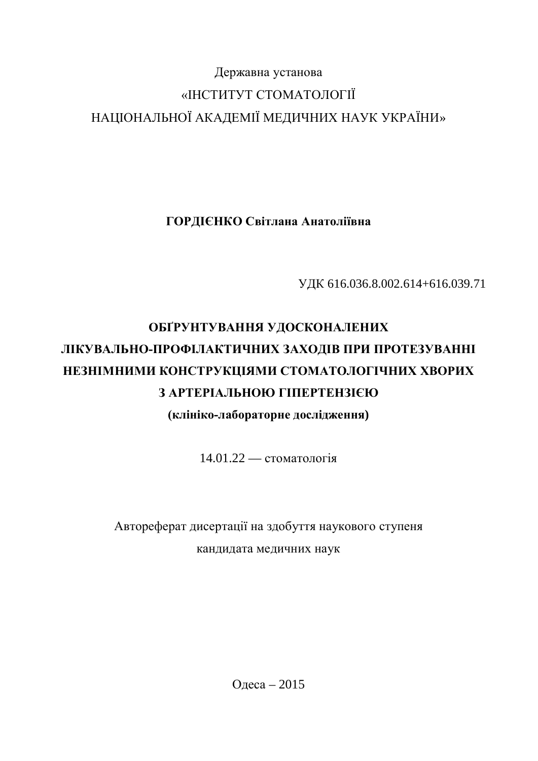# Державна установа «ІНСТИТУТ СТОМАТОЛОГІЇ НАЦІОНАЛЬНОЇ АКАДЕМІЇ МЕДИЧНИХ НАУК УКРАЇНИ»

ГОРДІЄНКО Світлана Анатоліївна

ɍȾɄ 616.036.8.002.614+616.039.71

# ОБҐРУНТУВАННЯ УДОСКОНАЛЕНИХ **ЛІКУВАЛЬНО-ПРОФІЛАКТИЧНИХ ЗАХОДІВ ПРИ ПРОТЕЗУВАННІ** НЕЗНІМНИМИ КОНСТРУКЦІЯМИ СТОМАТОЛОГІЧНИХ ХВОРИХ **З АРТЕРІАЛЬНОЮ ГІПЕРТЕНЗІЄЮ ɤɥɿɧɿɤɨɥɚɛɨɪɚɬɨɪɧɟɞɨɫɥɿɞɠɟɧɧɹ)**

14.01.22 — стоматологія

# Автореферат дисертації на здобуття наукового ступеня кандидата медичних наук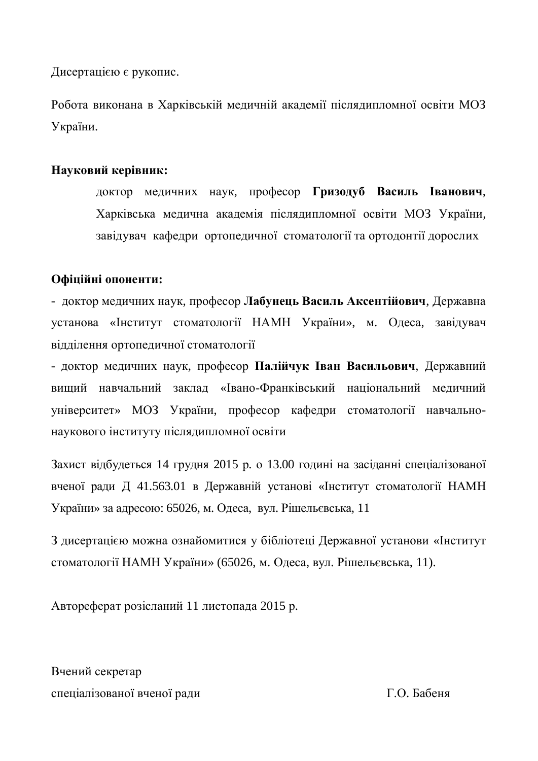Дисертацією є рукопис.

Робота виконана в Харківській меличній акалемії післялипломної освіти МОЗ України.

#### Науковий керівник:

доктор медичних наук, професор Гризодуб Василь Іванович, Харківська медична академія післядипломної освіти МОЗ України, завідувач кафедри ортопедичної стоматології та ортодонтії дорослих

#### Офіційні опоненти:

- доктор медичних наук, професор Лабунець Василь Аксентійович, Державна установа «Інститут стоматології НАМН України», м. Одеса, завідувач віллілення ортопеличної стоматології

- доктор медичних наук, професор Палійчук Іван Васильович, Державний вищий навчальний заклад «Івано-Франківський національний медичний університет» МОЗ України, професор кафедри стоматології навчальнонаукового інституту післядипломної освіти

Захист відбудеться 14 грудня 2015 р. о 13.00 годині на засіданні спеціалізованої вченої ради Д 41.563.01 в Державній установі «Інститут стоматології НАМН України» за адресою: 65026, м. Одеса, вул. Рішельєвська, 11

З дисертацією можна ознайомитися у бібліотеці Державної установи «Інститут стоматології НАМН України» (65026, м. Одеса, вул. Рішельєвська, 11).

Автореферат розісланий 11 листопада 2015 р.

Вчений секретар спеціалізованої вченої ради П.О. Бабеня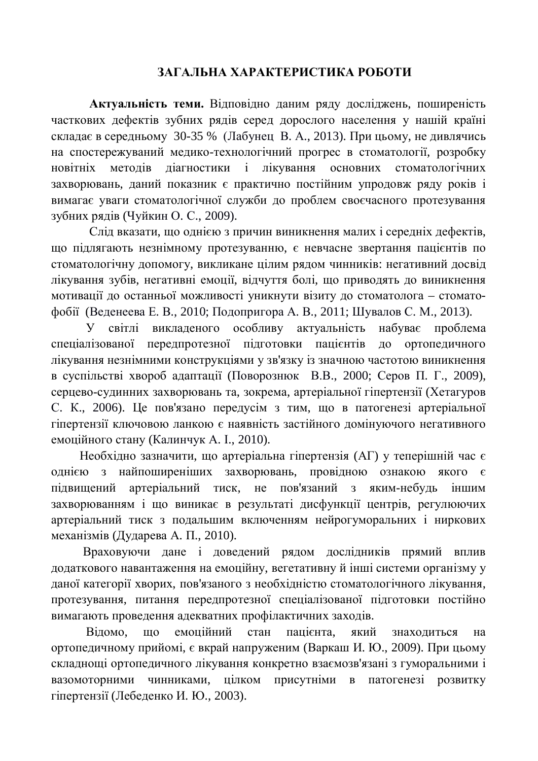### ЗАГАЛЬНА ХАРАКТЕРИСТИКА РОБОТИ

Актуальність теми. Відповідно даним ряду досліджень, поширеність часткових дефектів зубних рядів серед дорослого населення у нашій країні складає в середньому 30-35 % (Лабунец В. А., 2013). При цьому, не дивлячись на спостережуваний медико-технологічний прогрес в стоматології, розробку новітніх методів діагностики і лікування основних стоматологічних захворювань, даний показник є практично постійним упродовж ряду років і вимагає уваги стоматологічної служби до проблем своєчасного протезування зубних рядів (Чуйкин О. С., 2009).

Слід вказати, що однією з причин виникнення малих і середніх дефектів, що підлягають незнімному протезуванню, є невчасне звертання пацієнтів по стоматологічну допомогу, викликане цілим рядом чинників: негативний досвід лікування зубів, негативні емоції, відчуття болі, що приводять до виникнення мотивації до останньої можливості уникнути візиту до стоматолога - стоматофобії (Веденеева Е. В., 2010; Подопригора А. В., 2011; Шувалов С. М., 2013).

У світлі викладеного особливу актуальність набуває проблема спеціалізованої передпротезної підготовки пацієнтів до ортопедичного лікування незнімними конструкціями у зв'язку із значною частотою виникнення в суспільстві хвороб адаптації (Поворознюк В.В., 2000; Серов П. Г., 2009), серцево-судинних захворювань та, зокрема, артеріальної гіпертензії (Хетагуров С. К., 2006). Це пов'язано передусім з тим, що в патогенезі артеріальної гіпертензії ключовою ланкою є наявність застійного домінуючого негативного емоційного стану (Калинчук А. I., 2010).

Необхідно зазначити, що артеріальна гіпертензія (АГ) у теперішній час є однією з найпоширеніших захворювань, провідною ознакою якого є підвищений артеріальний тиск, не пов'язаний з яким-небудь іншим захворюванням і що виникає в результаті дисфункції центрів, регулюючих артеріальний тиск з подальшим включенням нейрогуморальних і ниркових механізмів (Дударева А. П., 2010).

Враховуючи дане і доведений рядом дослідників прямий вплив додаткового навантаження на емоційну, вегетативну й інші системи організму у даної категорії хворих, пов'язаного з необхідністю стоматологічного лікування, протезування, питання передпротезної спеціалізованої підготовки постійно вимагають проведення адекватних профілактичних заходів.

Відомо, що емоційний стан пацієнта, який знахолиться на ортопедичному прийомі, є вкрай напруженим (Варкаш И. Ю., 2009). При цьому складнощі ортопедичного лікування конкретно взаємозв'язані з гуморальними і вазомоторними чинниками, цілком присутніми в патогенезі розвитку гіпертензії (Лебеденко И. Ю., 2003).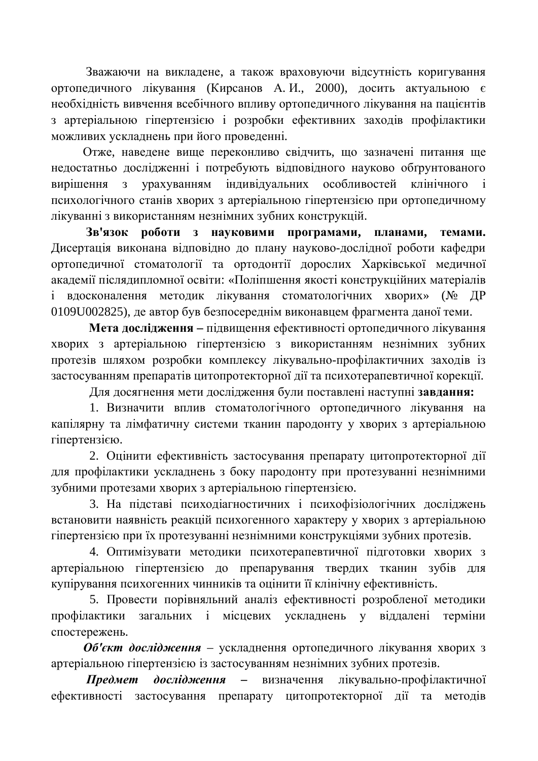Зважаючи на викладене, а також враховуючи відсутність коригування ортопедичного лікування (Кирсанов А. И., 2000), досить актуальною є необхілність вивчення всебічного впливу ортопеличного лікування на пацієнтів з артеріальною гіпертензією і розробки ефективних заходів профілактики можливих ускладнень при його проведенні.

Отже, наведене вище переконливо свідчить, що зазначені питання ще недостатньо дослідженні і потребують відповідного науково обґрунтованого вирішення з урахуванням індивілуальних особливостей клінічного і психологічного станів хворих з артеріальною гіпертензією при ортопедичному лікуванні з використанням незнімних зубних конструкцій.

Зв'язок роботи з науковими програмами, планами, темами. Дисертація виконана відповідно до плану науково-дослідної роботи кафедри ортопедичної стоматології та ортодонтії дорослих Харківської медичної академії післядипломної освіти: «Поліпшення якості конструкційних матеріалів і вдосконалення методик лікування стоматологічних хворих» (№ ДР 0109U002825), де автор був безпосереднім виконавцем фрагмента даної теми.

Мета дослідження – підвищення ефективності ортопедичного лікування хворих з артеріальною гіпертензією з використанням незнімних зубних протезів шляхом розробки комплексу лікувально-профілактичних заходів із застосуванням препаратів цитопротекторної дії та психотерапевтичної корекції.

Для досягнення мети дослідження були поставлені наступні завдання:

1. Визначити вплив стоматологічного ортопедичного лікування на капілярну та лімфатичну системи тканин пародонту у хворих з артеріальною гіпертензією.

2. Оцінити ефективність застосування препарату цитопротекторної дії для профілактики ускладнень з боку пародонту при протезуванні незнімними зубними протезами хворих з артеріальною гіпертензією.

3. На пілставі психоліагностичних і психофізіологічних лослілжень встановити наявність реакцій психогенного характеру у хворих з артеріальною гіпертензією при їх протезуванні незнімними конструкціями зубних протезів.

4. Оптимізувати методики психотерапевтичної підготовки хворих з артеріальною гіпертензією до препарування твердих тканин зубів для купірування психогенних чинників та оцінити її клінічну ефективність.

5. Провести порівняльний аналіз ефективності розробленої методики профілактики загальних і місцевих ускладнень у віддалені терміни спостережень.

Об'єкт дослідження – ускладнення ортопедичного лікування хворих з артеріальною гіпертензією із застосуванням незнімних зубних протезів.

**Предмет дослідження –** визначення лікувально-профілактичної ефективності застосування препарату цитопротекторної дії та методів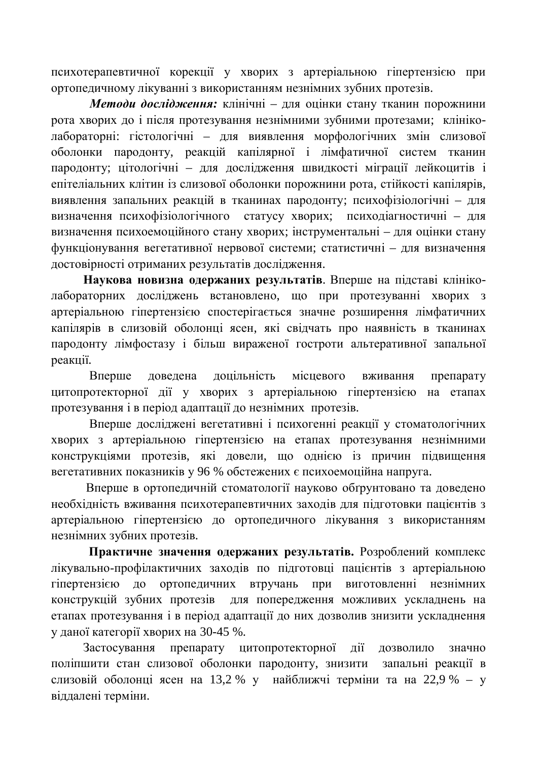психотерапевтичної корекції у хворих з артеріальною гіпертензією при ортопедичному лікуванні з використанням незнімних зубних протезів.

**Методи дослідження:** клінічні – для оцінки стану тканин порожнини рота хворих до і після протезування незнімними зубними протезами; клініколабораторні: гістологічні – для виявлення морфологічних змін слизової оболонки пародонту, реакцій капілярної і лімфатичної систем тканин пародонту; цітологічні – для дослідження швидкості міграції лейкоцитів і епітеліальних клітин із слизової оболонки порожнини рота, стійкості капілярів, виявлення запальних реакцій в тканинах пародонту; психофізіологічні - для визначення психофізіологічного статусу хворих; психодіагностичні - для визначення психоемоційного стану хворих; інструментальні – для оцінки стану функціонування вегетативної нервової системи; статистичні – для визначення иостовірності отриманих результатів дослідження.

Наукова новизна одержаних результатів. Вперше на підставі клініколабораторних досліджень встановлено, що при протезуванні хворих з артеріальною гіпертензією спостерігається значне розширення лімфатичних капілярів в слизовій оболонці ясен, які свідчать про наявність в тканинах пародонту лімфостазу і більш вираженої гостроти альтеративної запальної реакції.

Вперше доведена доцільність місцевого вживання препарату цитопротекторної дії у хворих з артеріальною гіпертензією на етапах протезування і в період адаптації до незнімних протезів.

Вперше лослілжені вегетативні і психогенні реакції у стоматологічних хворих з артеріальною гіпертензією на етапах протезування незнімними конструкціями протезів, які довели, що однією із причин підвищення вегетативних показників у 96 % обстежених є психоемоційна напруга.

Вперше в ортопедичній стоматології науково обґрунтовано та доведено необхідність вживання психотерапевтичних заходів для підготовки пацієнтів з артеріальною гіпертензією до ортопедичного лікування з використанням незнімних зубних протезів.

Практичне значення одержаних результатів. Розроблений комплекс лікувально-профілактичних заходів по підготовці пацієнтів з артеріальною гіпертензією до ортопедичних втручань при виготовленні незнімних конструкцій зубних протезів для попередження можливих ускладнень на етапах протезування і в період адаптації до них дозволив знизити ускладнення у даної категорії хворих на 30-45 %.

Застосування препарату цитопротекторної дії дозволило значно поліпшити стан слизової оболонки пародонту, знизити запальні реакції в слизовій оболонці ясен на 13,2 % у найближчі терміни та на 22,9 % – у віддалені терміни.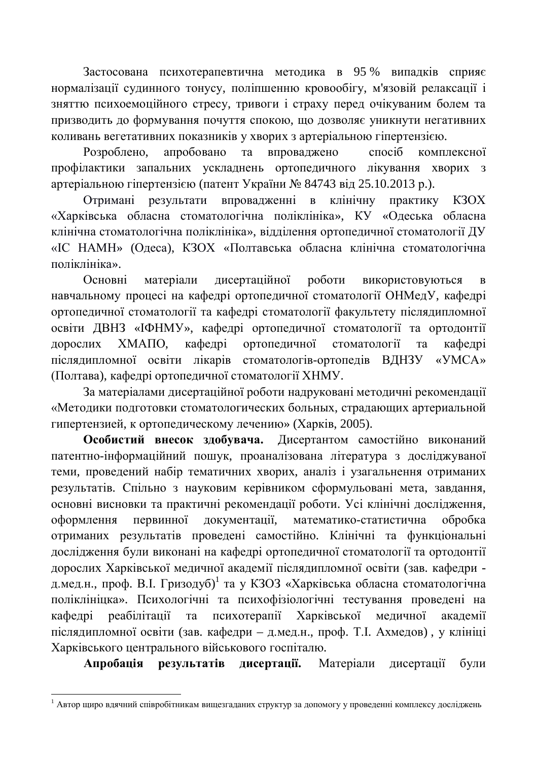Застосована психотерапевтична методика в 95 % випадків сприяє нормалізації судинного тонусу, поліпшенню кровообігу, м'язовій релаксації і зняттю психоемоційного стресу, тривоги і страху перед очікуваним болем та призводить до формування почуття спокою, що дозволяє уникнути негативних коливань вегетативних показників у хворих з артеріальною гіпертензією.

Розроблено, апробовано та впроваджено спосіб комплексної профілактики запальних ускладнень ортопедичного лікування хворих з артеріальною гіпертензією (патент України № 84743 від 25.10.2013 р.).

Отримані результати впровадженні в клінічну практику КЗОХ «Харківська обласна стоматологічна поліклініка», КУ «Одеська обласна клінічна стоматологічна поліклініка», відділення ортопедичної стоматології ДУ «IC НАМН» (Одеса), КЗОХ «Полтавська обласна клінічна стоматологічна ποπίκπι μίκα».

Основні матеріали дисертаційної роботи використовуються в навчальному процесі на кафедрі ортопедичної стоматології ОНМедУ, кафедрі ортопедичної стоматології та кафедрі стоматології факультету післядипломної освіти ДВНЗ «ІФНМУ», кафедрі ортопедичної стоматології та ортодонтії дорослих ХМАПО, кафелрі ортопеличної стоматології та кафелрі післядипломної освіти лікарів стоматологів-ортопедів ВДНЗУ «УМСА» (Полтава), кафедрі ортопедичної стоматології ХНМУ.

За матеріалами дисертаційної роботи надруковані методичні рекомендації «Методики подготовки стоматологических больных, страдающих артериальной гипертензией, к ортопедическому лечению» (Харків, 2005).

Особистий внесок здобувача. Дисертантом самостійно виконаний патентно-інформаційний пошук, проаналізована література з досліджуваної теми, проведений набір тематичних хворих, аналіз і узагальнення отриманих результатів. Спільно з науковим керівником сформульовані мета, завдання, основні висновки та практичні рекомендації роботи. Усі клінічні дослідження, оформлення первинної документації, математико-статистична обробка отриманих результатів проведені самостійно. Клінічні та функціональні дослідження були виконані на кафедрі ортопедичної стоматології та ортодонтії дорослих Харківської медичної академії післядипломної освіти (зав. кафедри д.мед.н., проф. В.І. Гризодуб)<sup>1</sup> та у КЗОЗ «Харківська обласна стоматологічна поліклініцка». Психологічні та психофізіологічні тестування проведені на кафедрі реабілітації та психотерапії Харківської медичної академії післядипломної освіти (зав. кафедри – д.мед.н., проф. Т.І. Ахмедов), у клініці Харківського центрального військового госпіталю.

Апробація результатів дисертації. Матеріали дисертації були

<sup>&</sup>lt;sup>1</sup> Автор щиро вдячний співробітникам вищезгаданих структур за допомогу у проведенні комплексу досліджень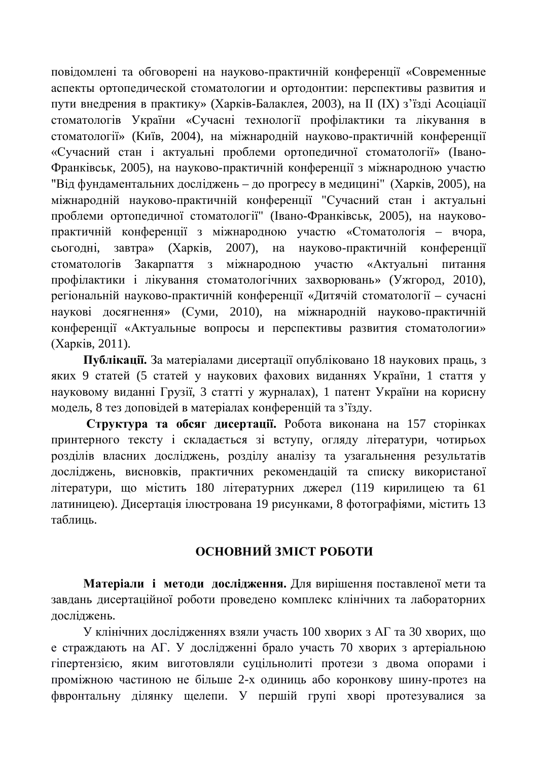повідомлені та обговорені на науково-практичній конференції «Современные аспекты ортопедической стоматологии и ортодонтии: перспективы развития и пути внедрения в практику» (Харків-Балаклея, 2003), на II (IX) з'їзді Асоціації стоматологів України «Сучасні технології профілактики та лікування в стоматології» (Київ, 2004), на міжнародній науково-практичній конференції «Сучасний стан і актуальні проблеми ортопедичної стоматології» (Івано-Франківськ, 2005), на науково-практичній конференції з міжнародною участю "Віл фунламентальних лослілжень – ло прогресу в мелицині" (Харків, 2005), на міжнародній науково-практичній конференції "Сучасний стан і актуальні проблеми ортопедичної стоматології" (Івано-Франківськ, 2005), на науковопрактичній конференції з міжнародною участю «Стоматологія - вчора, сьогодні, завтра» (Харків, 2007), на науково-практичній конференції стоматологів Закарпаття з міжнародною участю «Актуальні питання профілактики і лікування стоматологічних захворювань» (Ужгород, 2010), регіональній науково-практичній конференції «Дитячій стоматології – сучасні наукові досягнення» (Суми, 2010), на міжнародній науково-практичній конференції «Актуальные вопросы и перспективы развития стоматологии» (Харків, 2011).

Публікації. За матеріалами дисертації опубліковано 18 наукових праць, з яких 9 статей (5 статей у наукових фахових виданнях України, 1 стаття у науковому виданні Грузії, 3 статті у журналах), 1 патент України на корисну модель, 8 тез доповідей в матеріалах конференцій та з'їзду.

Структура та обсяг дисертації. Робота виконана на 157 сторінках принтерного тексту і складається зі вступу, огляду літератури, чотирьох розділів власних досліджень, розділу аналізу та узагальнення результатів досліджень, висновків, практичних рекомендацій та списку використаної літератури, що містить 180 літературних джерел (119 кирилицею та 61 латиницею). Дисертація ілюстрована 19 рисунками, 8 фотографіями, містить 13 таблины.

## **ОСНОВНИЙ ЗМІСТ РОБОТИ**

Матеріали і методи дослідження. Для вирішення поставленої мети та завдань дисертаційної роботи проведено комплекс клінічних та лабораторних досліджень.

У клінічних дослідженнях взяли участь 100 хворих з АГ та 30 хворих, що е страждають на АГ. У дослідженні брало участь 70 хворих з артеріальною гіпертензією, яким виготовляли суцільнолиті протези з двома опорами і проміжною частиною не більше 2-х одиниць або коронкову шину-протез на фвронтальну ділянку щелепи. У першій групі хворі протезувалися за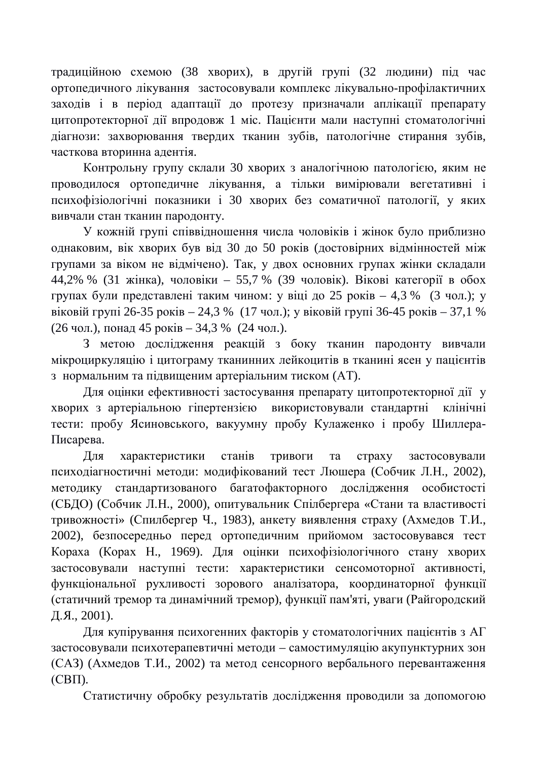традиційною схемою (38 хворих), в другій групі (32 людини) під час ортопедичного лікування застосовували комплекс лікувально-профілактичних заходів і в період адаптації до протезу призначали аплікації препарату цитопротекторної дії впродовж 1 міс. Пацієнти мали наступні стоматологічні діагнози: захворювання твердих тканин зубів, патологічне стирання зубів, часткова вторинна адентія.

Контрольну групу склали 30 хворих з аналогічною патологією, яким не проводилося ортопеличне лікування, а тільки вимірювали вегетативні і психофізіологічні показники і 30 хворих без соматичної патології, у яких вивчали стан тканин пародонту.

У кожній групі співвідношення числа чоловіків і жінок було приблизно однаковим, вік хворих був від 30 до 50 років (достовірних відмінностей між групами за віком не відмічено). Так, у двох основних групах жінки складали 44,2% % (31 жінка), чоловіки – 55,7 % (39 чоловік). Вікові категорії в обох групах були представлені таким чином: у віці до 25 років – 4,3 % (3 чол.); у віковій групі 26-35 років – 24,3 % (17 чол.); у віковій групі 36-45 років – 37,1 % (26 чол.), понад 45 років – 34,3 % (24 чол.).

З метою дослідження реакцій з боку тканин пародонту вивчали мікроциркуляцію і цитограму тканинних лейкоцитів в тканині ясен у пацієнтів з нормальним та підвищеним артеріальним тиском (АТ).

Для оцінки ефективності застосування препарату цитопротекторної дії у хворих з артеріальною гіпертензією використовували стандартні клінічні тести: пробу Ясиновського, вакуумну пробу Кулаженко і пробу Шиллера-Писарева.

Для характеристики станів тривоги та страху застосовували психодіагностичні методи: модифікований тест Люшера (Собчик Л.Н., 2002), методику стандартизованого багатофакторного дослідження особистості (СБДО) (Собчик Л.Н., 2000), опитувальник Спілбергера «Стани та властивості тривожності» (Спилбергер Ч., 1983), анкету виявлення страху (Ахмедов Т.И., 2002), безпосередньо перед ортопедичним прийомом застосовувався тест Кораха (Корах Н., 1969). Для оцінки психофізіологічного стану хворих застосовували наступні тести: характеристики сенсомоторної активності, функціональної рухливості зорового аналізатора, координаторної функції (статичний тремор та динамічний тремор), функції пам'яті, уваги (Райгородский  $\Xi$ .  $\Xi$ ., 2001).

Для купірування психогенних факторів у стоматологічних пацієнтів з АГ застосовували психотерапевтичні методи – самостимуляцію акупунктурних зон (САЗ) (Ахмедов Т.И., 2002) та метод сенсорного вербального перевантаження  $(CB\Pi).$ 

Статистичну обробку результатів дослідження проводили за допомогою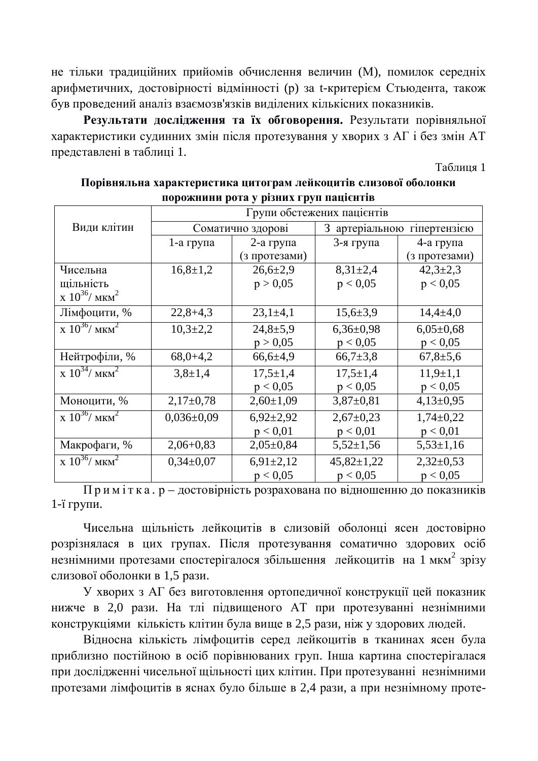не тільки традиційних прийомів обчислення величин (М), помилок середніх арифметичних, достовірності відмінності (р) за t-критерієм Стьюдента, також був проведений аналіз взаємозв'язків виділених кількісних показників.

Результати дослідження та їх обговорення. Результати порівняльної характеристики судинних змін після протезування у хворих з АГ і без змін АТ представлені в таблиці 1.

Таблиня 1

|                                            | Групи обстежених пацієнтів |                 |                                |                |  |  |
|--------------------------------------------|----------------------------|-----------------|--------------------------------|----------------|--|--|
| Види клітин                                | Соматично здорові          |                 | 3 артеріальною<br>гіпертензією |                |  |  |
|                                            | 1-а група                  | $2$ -а група    | 3-я група                      | 4-а група      |  |  |
|                                            |                            | (з протезами)   |                                | (з протезами)  |  |  |
| Чисельна                                   | $16,8 \pm 1,2$             | $26,6{\pm}2,9$  | $8,31\pm2,4$                   | $42,3 \pm 2,3$ |  |  |
| щільність                                  |                            | p > 0,05        | p < 0.05                       | p < 0.05       |  |  |
| $\rm X~10^{36}/~\rm MKm^2$                 |                            |                 |                                |                |  |  |
| Лімфоцити, %                               | $22,8+4,3$                 | $23,1\pm4,1$    | $15,6{\pm}3,9$                 | $14,4 \pm 4,0$ |  |  |
| $\chi$ 10 <sup>36</sup> / MKM <sup>2</sup> | $10,3{\pm}2,2$             | $24,8+5,9$      | $6,36\pm0,98$                  | $6,05\pm0,68$  |  |  |
|                                            |                            | p > 0,05        | p < 0.05                       | p < 0,05       |  |  |
| Нейтрофіли, %                              | $68,0+4,2$                 | $66,6{\pm}4,9$  | $66,7{\pm}3,8$                 | $67,8{\pm}5,6$ |  |  |
| $\chi$ 10 <sup>34</sup> / MKM <sup>2</sup> | $3,8 \pm 1,4$              | $17,5 \pm 1,4$  | $17,5 \pm 1,4$                 | $11,9 \pm 1,1$ |  |  |
|                                            |                            | p < 0.05        | p < 0.05                       | p < 0.05       |  |  |
| Моноцити, %                                | $2,17\pm0,78$              | $2,60 \pm 1,09$ | $3,87\pm0,81$                  | $4,13\pm0,95$  |  |  |
| $\chi$ 10 <sup>36</sup> / MKM <sup>2</sup> | $0,036\pm0,09$             | $6,92\pm2,92$   | $2,67 \pm 0,23$                | $1,74\pm0,22$  |  |  |
|                                            |                            | p < 0.01        | p < 0.01                       | p < 0.01       |  |  |
| Макрофаги, %                               | $2,06+0,83$                | $2,05\pm0,84$   | $5,52\pm1,56$                  | $5,53\pm1,16$  |  |  |
| $\chi$ 10 <sup>36</sup> / MKM <sup>2</sup> | $0,34\pm0,07$              | $6,91\pm2,12$   | $45,82 \pm 1,22$               | $2,32\pm0,53$  |  |  |
|                                            |                            | p < 0.05        | p < 0.05                       | p < 0.05       |  |  |

Порівняльна характеристика цитограм лейкоцитів слизової оболонки ПОРОЖНИНИ РОТА У РІЗНИХ ГРУП ПАШІЄНТІВ

Примітка. р – достовірність розрахована по відношенню до показників  $1$ -ї групи.

Чисельна щільність лейкоцитів в слизовій оболонці ясен достовірно розрізнялася в цих групах. Після протезування соматично здорових осіб незнімними протезами спостерігалося збільшення лейкоцитів на 1 мкм<sup>2</sup> зрізу слизової оболонки в 1,5 рази.

У хворих з АГ без виготовлення ортопедичної конструкції цей показник нижче в 2,0 рази. На тлі підвищеного АТ при протезуванні незнімними конструкціями кількість клітин була вище в 2,5 рази, ніж у здорових людей.

Відносна кількість лімфоцитів серед лейкоцитів в тканинах ясен була приблизно постійною в осіб порівнюваних груп. Інша картина спостерігалася при дослідженні чисельної щільності цих клітин. При протезуванні незнімними протезами лімфоцитів в яснах було більше в 2,4 рази, а при незнімному проте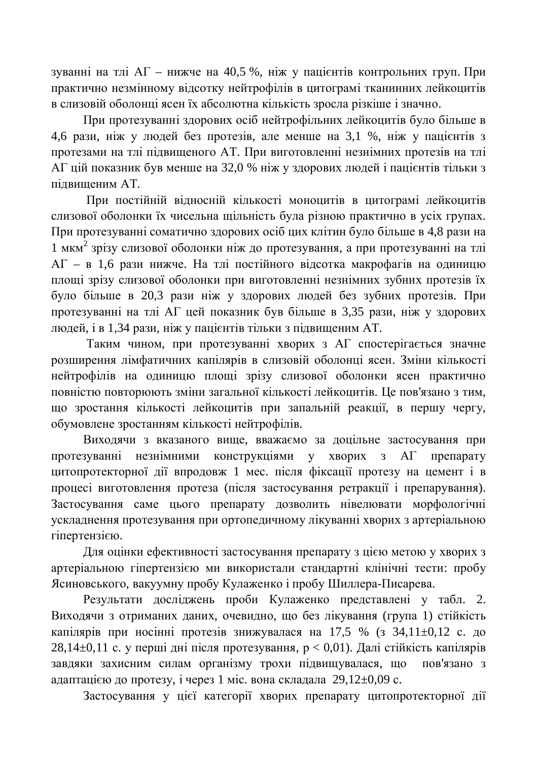зуванні на тлі АГ – нижче на 40,5 %, ніж у пацієнтів контрольних груп. При практично незмінному відсотку нейтрофілів в цитограмі тканинних лейкоцитів в слизовій оболонці ясен їх абсолютна кількість зросла різкіше і значно.

При протезуванні здорових осіб нейтрофільних лейкоцитів було більше в 4,6 рази, ніж у людей без протезів, але менше на 3,1 %, ніж у пацієнтів з протезами на тлі підвищеного АТ. При виготовленні незнімних протезів на тлі АГ цій показник був менше на 32,0 % ніж у здорових людей і пацієнтів тільки з пілвишеним АТ.

При постійній відносній кількості моноцитів в цитограмі лейкоцитів слизової оболонки їх чисельна щільність була різною практично в усіх групах. При протезуванні соматично здорових осіб цих клітин було більше в 4,8 рази на 1 мкм<sup>2</sup> зрізу слизової оболонки ніж до протезування, а при протезуванні на тлі  $AT - B$  1,6 рази нижче. На тлі постійного вілсотка макрофагів на одиницю площі зрізу слизової оболонки при виготовленні незнімних зубних протезів їх було більше в 20,3 рази ніж у здорових людей без зубних протезів. При протезуванні на тлі АГ цей показник був більше в 3,35 рази, ніж у здорових людей, і в 1,34 рази, ніж у пацієнтів тільки з підвищеним АТ.

Таким чином, при протезуванні хворих з АГ спостерігається значне розширення лімфатичних капілярів в слизовій оболонці ясен. Зміни кількості нейтрофілів на одиницю площі зрізу слизової оболонки ясен практично повністю повторюють зміни загальної кількості лейкоцитів. Це пов'язано з тим, що зростання кількості лейкоцитів при запальній реакції, в першу чергу, обумовлене зростанням кількості нейтрофілів.

Виходячи з вказаного вище, вважаємо за доцільне застосування при протезуванні незнімними конструкціями у хворих з АГ препарату щитопротекторної дії впродовж 1 мес. після фіксації протезу на цемент і в процесі виготовлення протеза (після застосування ретракції і препарування). Застосування саме цього препарату дозволить нівелювати морфологічні ускладнення протезування при ортопедичному лікуванні хворих з артеріальною гіпертензією.

Для оцінки ефективності застосування препарату з цією метою у хворих з артеріальною гіпертензією ми використали стандартні клінічні тести: пробу Ясиновського, вакуумну пробу Кулаженко і пробу Шиллера-Писарева.

Результати досліджень проби Кулаженко представлені у табл. 2. Виходячи з отриманих даних, очевидно, що без лікування (група 1) стійкість капілярів при носінні протезів знижувалася на 17,5 % (з 34,11 $\pm$ 0,12 с. до 28,14 $\pm$ 0,11 с. у перші дні після протезування,  $p < 0.01$ ). Далі стійкість капілярів завдяки захисним силам організму трохи підвищувалася, що пов'язано з адаптацією до протезу, і через 1 міс. вона складала 29,12 $\pm$ 0,09 с.

Застосування у цієї категорії хворих препарату цитопротекторної дії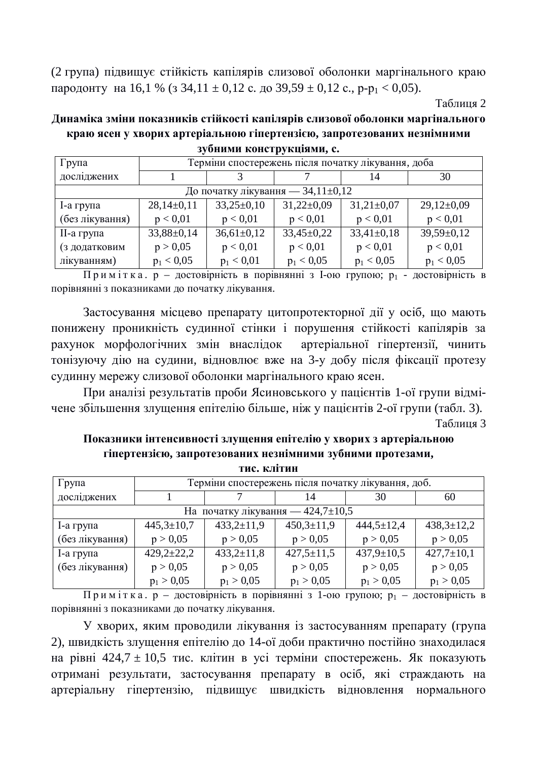(2 група) підвищує стійкість капілярів слизової оболонки маргінального краю пародонту на 16,1 % (з 34,11  $\pm$  0,12 с. до 39,59  $\pm$  0,12 с., p-p<sub>1</sub> < 0,05).

Таблиня 2

Динаміка зміни показників стійкості капілярів слизової оболонки маргінального краю ясен у хворих артеріальною гіпертензією, запротезованих незнімними  $3V$ бними конструкціями, с.

| Група                             | Терміни спостережень після початку лікування, доба |                |                |                |                  |  |  |  |
|-----------------------------------|----------------------------------------------------|----------------|----------------|----------------|------------------|--|--|--|
| досліджених                       |                                                    |                |                | 14             | 30               |  |  |  |
| До початку лікування — 34,11±0,12 |                                                    |                |                |                |                  |  |  |  |
| I-а група                         | $28,14\pm0,11$                                     | $33,25\pm0,10$ | $31,22\pm0.09$ | $31,21\pm0,07$ | $29,12\pm0.09$   |  |  |  |
| (без лікування)                   | p < 0.01                                           | p < 0.01       | p < 0.01       | p < 0.01       | p < 0.01         |  |  |  |
| II-а група                        | $33,88 \pm 0,14$                                   | $36,61\pm0,12$ | $33,45\pm0,22$ | $33,41\pm0,18$ | $39,59 \pm 0,12$ |  |  |  |
| (з додатковим                     | p > 0,05                                           | p < 0.01       | p < 0.01       | p < 0.01       | p < 0.01         |  |  |  |
| лікуванням)                       | $p_1 < 0.05$                                       | $p_1 < 0.01$   | $p_1 < 0.05$   | $p_1 < 0.05$   | $p_1 < 0.05$     |  |  |  |

Примітка. р – достовірність в порівнянні з І-ою групою; р1 - достовірність в порівнянні з показниками до початку лікування.

Застосування місцево препарату цитопротекторної дії у осіб, що мають понижену проникність судинної стінки і порушення стійкості капілярів за рахунок морфологічних змін внаслідок артеріальної гіпертензії, чинить тонізуючу дію на судини, відновлює вже на 3-у добу після фіксації протезу судинну мережу слизової оболонки маргінального краю ясен.

При аналізі результатів проби Ясиновського у пацієнтів 1-ої групи відмічене збільшення злущення епітелію більше, ніж у пацієнтів 2-ої групи (табл. 3).

Таблиня 3

Показники інтенсивності злущення епітелію у хворих з артеріальною гіпертензією, запротезованих незнімними зубними протезами, **ɬɢɫ. ɤɥɿɬɢɧ**

| тис. Клітин                             |                                                    |                  |                  |                  |                  |  |  |  |
|-----------------------------------------|----------------------------------------------------|------------------|------------------|------------------|------------------|--|--|--|
| Група                                   | Терміни спостережень після початку лікування, доб. |                  |                  |                  |                  |  |  |  |
| досліджених                             |                                                    | 14               |                  | 30               | 60               |  |  |  |
| На початку лікування — 424,7 $\pm$ 10,5 |                                                    |                  |                  |                  |                  |  |  |  |
| I-а група                               | $445,3 \pm 10,7$                                   | $433,2+11,9$     | $450,3 \pm 11,9$ | $444,5 \pm 12,4$ | $438,3 \pm 12,2$ |  |  |  |
| (без лікування)                         | p > 0,05                                           | p > 0,05         | p > 0,05         | p > 0,05         | p > 0,05         |  |  |  |
| I-а група                               | $429,2 \pm 22,2$                                   | $433,2 \pm 11,8$ | $427,5 \pm 11,5$ | $437,9 \pm 10,5$ | $427,7 \pm 10,1$ |  |  |  |
| (без лікування)                         | p > 0,05                                           | p > 0,05         | p > 0,05         | p > 0,05         | p > 0,05         |  |  |  |
|                                         | $p_1 > 0.05$                                       | $p_1 > 0.05$     | $p_1 > 0.05$     | $p_1 > 0.05$     | $p_1 > 0.05$     |  |  |  |

Примітка. р – достовірність в порівнянні з 1-ою групою; р<sub>1</sub> – достовірність в порівнянні з показниками до початку лікування.

У хворих, яким проводили лікування із застосуванням препарату (група 2), швидкість злущення епітелію до 14-ої доби практично постійно знаходилася на рівні 424,7 ± 10,5 тис. клітин в усі терміни спостережень. Як показують отримані результати, застосування препарату в осіб, які страждають на артеріальну гіпертензію, підвищує швидкість відновлення нормального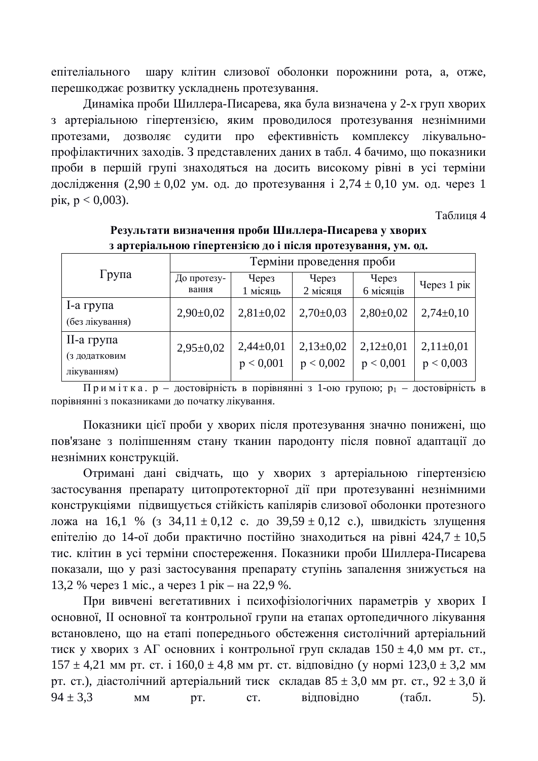епітеліального шару клітин слизової оболонки порожнини рота, а, отже, перешкоджає розвитку ускладнень протезування.

Динаміка проби Шиллера-Писарева, яка була визначена у 2-х груп хворих з артеріальною гіпертензією, яким проводилося протезування незнімними протезами, дозволяє судити про ефективність комплексу лікувальнопрофілактичних заходів. З представлених даних в табл. 4 бачимо, що показники проби в першій групі знаходяться на досить високому рівні в усі терміни дослідження  $(2.90 \pm 0.02 \text{ VM. } 0.1 \text{ K})$  протезування і  $2.74 \pm 0.10 \text{ VM. } 0.1 \text{ G}$ . через 1 pik,  $p < 0,003$ ).

 $Ta6$ пиня 4

|                 |                          |                 |               | , , ,         |               |  |
|-----------------|--------------------------|-----------------|---------------|---------------|---------------|--|
|                 | Терміни проведення проби |                 |               |               |               |  |
| Група           | До протезу-              | Через           | Через         | Через         | Через 1 рік   |  |
|                 | вання                    | 1 місяць        | 2 місяця      | 6 місяців     |               |  |
| $1$ -а група    | $2,90\pm0,02$            | $2,81 \pm 0.02$ | $2,70\pm0,03$ | $2,80\pm0.02$ | $2,74\pm0,10$ |  |
| (без лікування) |                          |                 |               |               |               |  |
| II-а група      | $2,95 \pm 0,02$          | $2,44\pm0,01$   | $2,13\pm0,02$ | $2,12\pm0,01$ | $2,11\pm0,01$ |  |
| (з додатковим   |                          |                 |               |               |               |  |
| лікуванням)     |                          | p < 0,001       | p < 0,002     | p < 0,001     | p < 0,003     |  |

Результати визначення проби Шиллера-Писарева у хворих з артеріальною гіпертензією до і після протезування, ум. од.

 $\Pi$ римітка. р – достовірність в порівнянні з 1-ою групою; р<sub>1</sub> – достовірність в порівнянні з показниками до початку лікування.

Показники цієї проби у хворих після протезування значно понижені, що пов'язане з поліпшенням стану тканин пародонту після повної адаптації до незнімних конструкцій.

Отримані дані свідчать, що у хворих з артеріальною гіпертензією застосування препарату цитопротекторної дії при протезуванні незнімними конструкціями підвищується стійкість капілярів слизової оболонки протезного ложа на 16,1 % (з 34,11 ± 0,12 с. до 39,59 ± 0,12 с.), швидкість злущення епітелію до 14-ої доби практично постійно знаходиться на рівні 424,7  $\pm$  10,5 тис. клітин в усі терміни спостереження. Показники проби Шиллера-Писарева показали, що у разі застосування препарату ступінь запалення знижується на 13,2 % через 1 міс., а через 1 рік – на 22,9 %.

При вивчені вегетативних і психофізіологічних параметрів у хворих I основної, II основної та контрольної групи на етапах ортопедичного лікування встановлено, що на етапі попереднього обстеження систолічний артеріальний тиск у хворих з АГ основних і контрольної груп складав  $150 \pm 4.0$  мм рт. ст.,  $157 \pm 4.21$  MM pt. ct. i  $160.0 \pm 4.8$  MM pt. ct. відповідно (у нормі  $123.0 \pm 3.2$  MM рт. ст.), діастолічний артеріальний тиск складав  $85 \pm 3.0$  мм рт. ст.,  $92 \pm 3.0$  й  $94 \pm 3.3$  MM pt. CT. відповідно (табл. 5).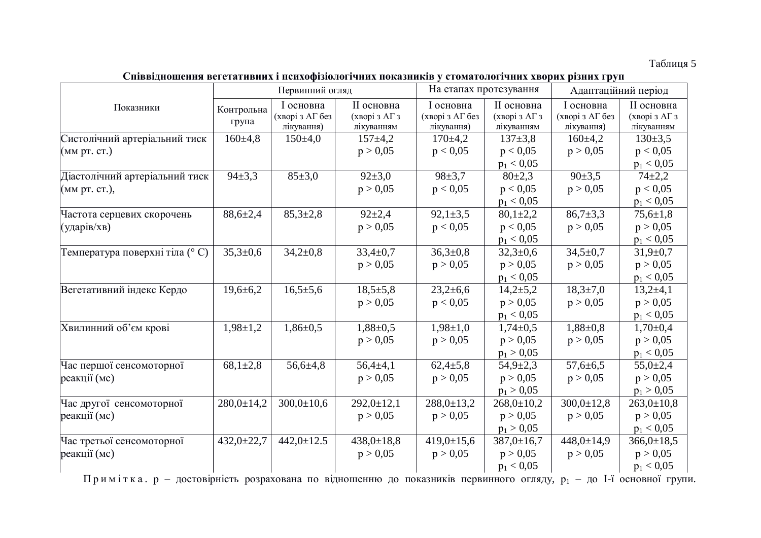#### Таблиця 5

Співвідношення вегетативних і психофізіологічних показників у стоматологічних хворих різних груп

|                                 | Первинний огляд     |                                            | На етапах протезування                    |                                            | Адаптаційний період                       |                                            |                                           |
|---------------------------------|---------------------|--------------------------------------------|-------------------------------------------|--------------------------------------------|-------------------------------------------|--------------------------------------------|-------------------------------------------|
| Показники                       | Контрольна<br>група | I основна<br>(хворі з АГ без<br>лікування) | II основна<br>(хворі з АГ з<br>лікуванням | I основна<br>(хворі з АГ без<br>лікування) | II основна<br>(хворі з АГ з<br>лікуванням | I основна<br>(хворі з АГ без<br>лікування) | II основна<br>(хворі з АГ з<br>лікуванням |
| Систолічний артеріальний тиск   | $160 \pm 4.8$       | 150±4,0                                    | $157 \pm 4.2$                             | $170 \pm 4.2$                              | $137 \pm 3.8$                             | $160 \pm 4.2$                              | $130 \pm 3.5$                             |
| (мм рт. ст.)                    |                     |                                            | p > 0,05                                  | p < 0.05                                   | p < 0.05                                  | p > 0,05                                   | p < 0.05                                  |
|                                 |                     |                                            |                                           |                                            | $p_1 < 0.05$                              |                                            | $p_1 < 0.05$                              |
| Діастолічний артеріальний тиск  | $94 \pm 3.3$        | 85±3,0                                     | $92 \pm 3.0$                              | $98 \pm 3.7$                               | $80 \pm 2,3$                              | $90 \pm 3.5$                               | $74 + 2,2$                                |
| (мм рт. ст.),                   |                     |                                            | p > 0,05                                  | p < 0.05                                   | p < 0,05                                  | p > 0,05                                   | p < 0.05                                  |
|                                 |                     |                                            |                                           |                                            | $p_1 < 0.05$                              |                                            | $p_1 < 0.05$                              |
| Частота серцевих скорочень      | $88,6{\pm}2,4$      | $85,3{\pm}2,8$                             | $92+2,4$                                  | $92,1 \pm 3,5$                             | $80,1{\pm}2,2$                            | $86,7{\pm}3,3$                             | $75,6{\pm}1,8$                            |
| (ударів/хв)                     |                     |                                            | p > 0,05                                  | p < 0.05                                   | p < 0.05                                  | p > 0,05                                   | p > 0,05                                  |
|                                 |                     |                                            |                                           |                                            | $p_1 < 0.05$                              |                                            | $p_1 < 0.05$                              |
| Температура поверхні тіла (° С) | $35,3{\pm}0,6$      | $34,2{\pm}0,8$                             | $33,4 \pm 0.7$                            | $36,3{\pm}0.8$                             | $32,3+0,6$                                | $34,5 \pm 0.7$                             | $31,9 \pm 0.7$                            |
|                                 |                     |                                            | p > 0,05                                  | p > 0.05                                   | p > 0,05                                  | p > 0.05                                   | p > 0,05                                  |
|                                 |                     |                                            |                                           |                                            | $p_1 < 0.05$                              |                                            | $p_1 < 0.05$                              |
| Вегетативний індекс Кердо       | $19,6 \pm 6,2$      | $16,5{\pm}5,6$                             | $18,5+5,8$                                | $23,2{\pm}6,6$                             | $14,2{\pm}5,2$                            | $18,3{\pm}7,0$                             | $13,2+4,1$                                |
|                                 |                     |                                            | p > 0,05                                  | p < 0.05                                   | p > 0,05                                  | p > 0,05                                   | p > 0.05                                  |
|                                 |                     |                                            |                                           |                                            | $p_1 < 0.05$                              |                                            | $p_1 < 0.05$                              |
| Хвилинний об'єм крові           | $1,98 \pm 1,2$      | $1,86 \pm 0.5$                             | $1,88 \pm 0.5$                            | $1,98 \pm 1,0$                             | $1,74\pm0.5$                              | $1,88 \pm 0.8$                             | $1,70\pm0,4$                              |
|                                 |                     |                                            | p > 0,05                                  | p > 0,05                                   | p > 0.05                                  | p > 0,05                                   | p > 0.05                                  |
|                                 |                     |                                            |                                           |                                            | $p_1 > 0.05$                              |                                            | $p_1 < 0.05$                              |
| Час першої сенсомоторної        | $68,1{\pm}2,8$      | $56,6+4,8$                                 | $56,4{\pm}4,1$                            | $62,4{\pm}5,8$                             | $54,9{\pm}2,3$                            | $57,6 \pm 6,5$                             | $55,0{\pm}2,4$                            |
| реакції (мс)                    |                     |                                            | p > 0,05                                  | p > 0.05                                   | p > 0.05                                  | p > 0.05                                   | p > 0,05                                  |
|                                 |                     |                                            |                                           |                                            | $p_1 > 0.05$                              |                                            | $p_1 > 0.05$                              |
| Час другої сенсомоторної        | $280,0 \pm 14,2$    | $300,0 \pm 10,6$                           | $292,0 \pm 12,1$                          | $288,0 \pm 13,2$                           | $268,0+10,2$                              | $300,0 \pm 12,8$                           | $263,0+10,8$                              |
| реакції (мс)                    |                     |                                            | p > 0,05                                  | p > 0.05                                   | p > 0.05                                  | p > 0.05                                   | p > 0,05                                  |
|                                 |                     |                                            |                                           |                                            | $p_1 > 0.05$                              |                                            | $p_1 < 0.05$                              |
| Час третьої сенсомоторної       | $432,0 \pm 22,7$    | $442,0 \pm 12.5$                           | $438,0 \pm 18,8$                          | $419,0 \pm 15,6$                           | $387,0 \pm 16,7$                          | $448,0 \pm 14,9$                           | $366,0 \pm 18,5$                          |
| реакції (мс)                    |                     |                                            | p > 0,05                                  | p > 0.05                                   | p > 0,05                                  | p > 0,05                                   | p > 0.05                                  |
|                                 |                     |                                            |                                           |                                            | $p_1 < 0.05$                              |                                            | $p_1 < 0.05$                              |

Примітка. р – достовірність розрахована по відношенню до показників первинного огляду, р<sub>1</sub> – до І-ї основної групи.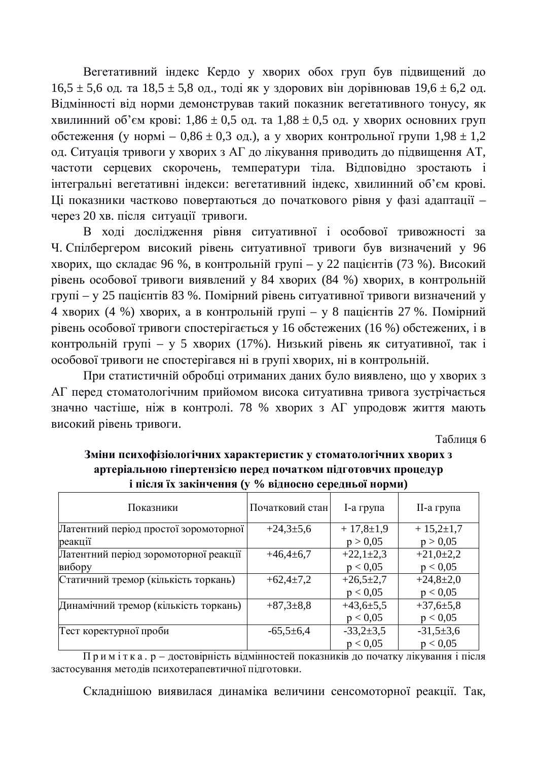Вегетативний індекс Кердо у хворих обох груп був підвищений до  $16,5 \pm 5,6$  og. та  $18,5 \pm 5,8$  og., тоді як у здорових він дорівнював  $19,6 \pm 6,2$  од. Відмінності від норми демонстрував такий показник вегетативного тонусу, як хвилинний об'єм крові:  $1,86 \pm 0.5$  од. та  $1,88 \pm 0.5$  од. у хворих основних груп обстеження (у нормі – 0,86 ± 0,3 од.), а у хворих контрольної групи  $1,98 \pm 1,2$ од. Ситуація тривоги у хворих з АГ до лікування приводить до підвищення АТ, частоти серцевих скорочень, температури тіла. Відповідно зростають і інтегральні вегетативні індекси: вегетативний індекс, хвилинний об'єм крові. Ці показники частково повертаються до початкового рівня у фазі адаптації – через 20 хв. після ситуації тривоги.

В ході дослідження рівня ситуативної і особової тривожності за Ч. Спілбергером високий рівень ситуативної тривоги був визначений у 96 хворих, що складає 96 %, в контрольній групі – у 22 пацієнтів (73 %). Високий рівень особової тривоги виявлений у 84 хворих (84 %) хворих, в контрольній групі – у 25 пацієнтів 83 %. Помірний рівень ситуативної тривоги визначений у 4 хворих (4 %) хворих, а в контрольній групі – у 8 пацієнтів 27 %. Помірний рівень особової тривоги спостерігається у 16 обстежених (16 %) обстежених, і в контрольній групі – у 5 хворих (17%). Низький рівень як ситуативної, так і особової тривоги не спостерігався ні в групі хворих, ні в контрольній.

При статистичній обробці отриманих даних було виявлено, що у хворих з АГ перед стоматологічним прийомом висока ситуативна тривога зустрічається значно частіше, ніж в контролі. 78 % хворих з АГ упродовж життя мають високий рівень тривоги.

Таблиня 6

| , 0.24                                |                 |                 |                 |  |  |  |  |
|---------------------------------------|-----------------|-----------------|-----------------|--|--|--|--|
| Показники                             | Початковий стан | I-а група       | II-а група      |  |  |  |  |
| Латентний період простої зоромоторної | $+24,3+5,6$     | $+17,8\t\pm1,9$ | $+15,2{\pm}1,7$ |  |  |  |  |
| реакції                               |                 | p > 0,05        | p > 0,05        |  |  |  |  |
| Латентний період зоромоторної реакції | $+46,4+6,7$     | $+22,1\pm2,3$   | $+21,0+2,2$     |  |  |  |  |
| вибору                                |                 | p < 0.05        | p < 0.05        |  |  |  |  |
| Статичний тремор (кількість торкань)  | $+62,4+7,2$     | $+26,5+2,7$     | $+24,8+2,0$     |  |  |  |  |
|                                       |                 | p < 0.05        | p < 0.05        |  |  |  |  |
| Динамічний тремор (кількість торкань) | $+87,3+8,8$     | $+43,6+5,5$     | $+37,6 \pm 5,8$ |  |  |  |  |
|                                       |                 | p < 0.05        | p < 0.05        |  |  |  |  |
| Тест коректурної проби                | $-65,5+6,4$     | $-33,2+3,5$     | $-31,5+3,6$     |  |  |  |  |
|                                       |                 | p < 0.05        | p < 0.05        |  |  |  |  |

Зміни психофізіологічних характеристик у стоматологічних хворих з **артеріальною гіпертензією перед початком підготовчих процедур**  $\mathbf{i}$  після їх закінчення (у % вілносно серелньої норми)

Примітка. р – достовірність відмінностей показників до початку лікування і після застосування методів психотерапевтичної підготовки.

Складнішою виявилася динаміка величини сенсомоторної реакції. Так,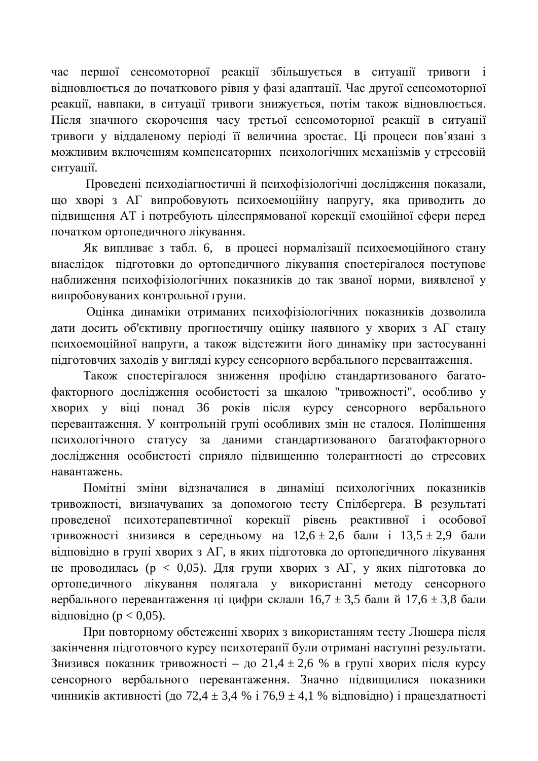час першої сенсомоторної реакції збільшується в ситуації тривоги і відновлюється до початкового рівня у фазі адаптації. Час другої сенсомоторної реакції, навпаки, в ситуації тривоги знижується, потім також відновлюється. Після значного скорочення часу третьої сенсомоторної реакції в ситуації тривоги у віддаленому періоді її величина зростає. Ці процеси пов'язані з можливим включенням компенсаторних психологічних механізмів у стресовій ситуації.

Проведені психоліагностичні й психофізіологічні дослідження показали. що хворі з АГ випробовують психоемоційну напругу, яка приводить до підвищення АТ і потребують цілеспрямованої корекції емоційної сфери перед початком ортопедичного лікування.

Як випливає з табл. 6, в процесі нормалізації психоемоційного стану внаслідок пілготовки до ортопеличного лікування спостерігалося поступове наближення психофізіологічних показників до так званої норми, виявленої у випробовуваних контрольної групи.

Оцінка динаміки отриманих психофізіологічних показників дозволила дати досить об'єктивну прогностичну оцінку наявного у хворих з АГ стану психоемоційної напруги, а також відстежити його динаміку при застосуванні підготовчих заходів у вигляді курсу сенсорного вербального перевантаження.

Також спостерігалося зниження профілю стандартизованого багатофакторного дослідження особистості за шкалою "тривожності", особливо у хворих у віці понад 36 років після курсу сенсорного вербального перевантаження. У контрольній групі особливих змін не сталося. Поліпшення психологічного статусу за даними стандартизованого багатофакторного дослідження особистості сприяло підвищенню толерантності до стресових навантажень.

Помітні зміни відзначалися в динаміці психологічних показників тривожності, визначуваних за допомогою тесту Спілбергера. В результаті проведеної психотерапевтичної корекції рівень реактивної і особової тривожності знизився в середньому на  $12,6 \pm 2,6$  бали і  $13,5 \pm 2,9$  бали відповідно в групі хворих з АГ, в яких підготовка до ортопедичного лікування не проводилась ( $p < 0.05$ ). Для групи хворих з АГ, у яких підготовка до ортопедичного лікування полягала у використанні методу сенсорного вербального перевантаження ці цифри склали  $16.7 \pm 3.5$  бали й  $17.6 \pm 3.8$  бали відповідно ( $p < 0.05$ ).

При повторному обстеженні хворих з використанням тесту Люшера після закінчення підготовчого курсу психотерапії були отримані наступні результати. Знизився показник тривожності – до 21,4 ± 2,6 % в групі хворих після курсу сенсорного вербального перевантаження. Значно підвищилися показники чинників активності (до 72,4 ± 3,4 % і 76,9 ± 4,1 % відповідно) і працездатності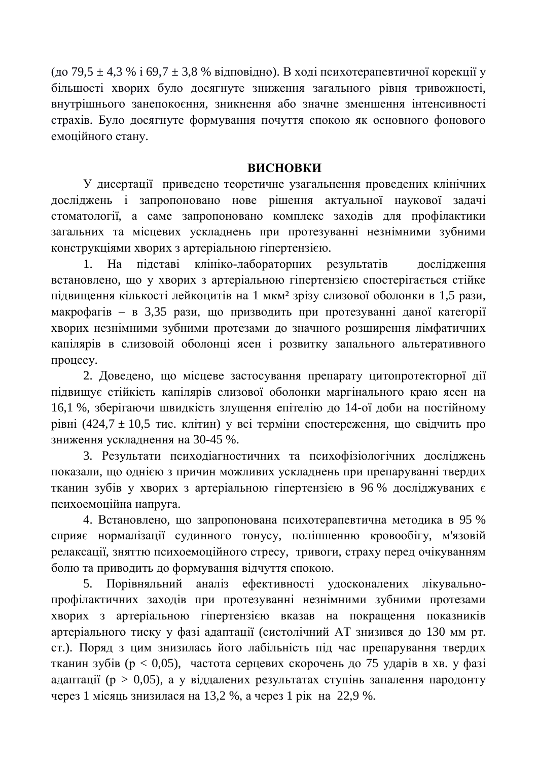$(10079, 5 \pm 4, 3 \%)$  i 69,7  $\pm 3, 8 \%$  відповідно). В ході психотерапевтичної корекції у більшості хворих було досягнуте зниження загального рівня тривожності, внутрішнього занепокоєння, зникнення або значне зменшення інтенсивності страхів. Було досягнуте формування почуття спокою як основного фонового емоційного стану.

#### **ВИСНОВКИ**

У лисертації привелено теоретичне узагальнення провелених клінічних досліджень і запропоновано нове рішення актуальної наукової задачі стоматології, а саме запропоновано комплекс заходів для профілактики загальних та місцевих ускладнень при протезуванні незнімними зубними конструкціями хворих з артеріальною гіпертензією.

1. На пілставі клініко-лабораторних результатів лослілження встановлено, що у хворих з артеріальною гіпертензією спостерігається стійке підвищення кількості лейкоцитів на 1 мкм<sup>2</sup> зрізу слизової оболонки в 1,5 рази, макрофагів – в 3,35 рази, що призводить при протезуванні даної категорії хворих незнімними зубними протезами до значного розширення лімфатичних капілярів в слизовоій оболонці ясен і розвитку запального альтеративного процесу.

2. Доведено, що місцеве застосування препарату цитопротекторної дії підвищує стійкість капілярів слизової оболонки маргінального краю ясен на 16,1 %, зберігаючи швидкість злущення епітелію до 14-ої доби на постійному рівні (424,7 ± 10,5 тис. клітин) у всі терміни спостереження, що свідчить про зниження ускладнення на 30-45 %.

3. Результати психодіагностичних та психофізіологічних досліджень показали, що однією з причин можливих ускладнень при препаруванні твердих тканин зубів у хворих з артеріальною гіпертензією в 96 % досліджуваних є психоемоційна напруга.

4. Встановлено, що запропонована психотерапевтична методика в 95 % сприяє нормалізації судинного тонусу, поліпшенню кровообігу, м'язовій релаксації, зняттю психоемоційного стресу, тривоги, страху перед очікуванням болю та приводить до формування відчуття спокою.

5. Порівняльний аналіз ефективності удосконалених лікувальнопрофілактичних заходів при протезуванні незнімними зубними протезами хворих з артеріальною гіпертензією вказав на покращення показників артеріального тиску у фазі адаптації (систолічний АТ знизився до 130 мм рт. ст.). Поряд з цим знизилась його лабільність під час препарування твердих тканин зубів ( $p < 0.05$ ), частота серцевих скорочень до 75 ударів в хв. у фазі адаптації (р > 0,05), а у віддалених результатах ступінь запалення пародонту через 1 місяць знизилася на 13,2 %, а через 1 рік на 22,9 %.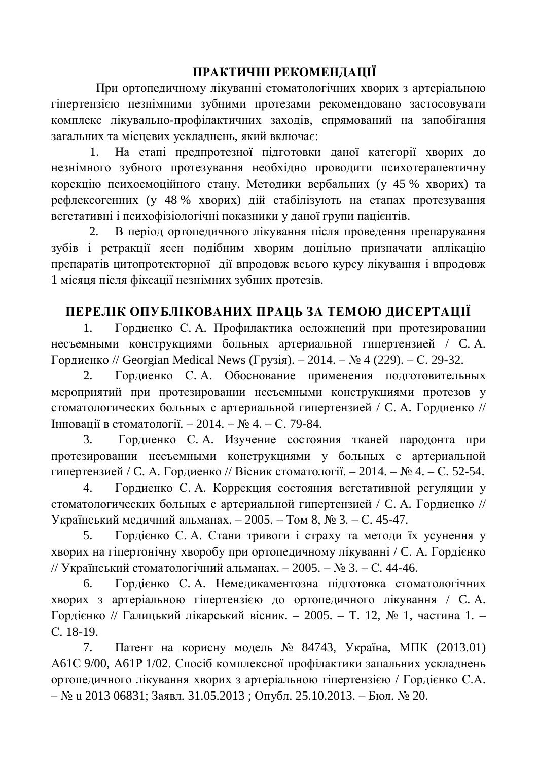## ПРАКТИЧНІ РЕКОМЕНДАЦІЇ

При ортопедичному лікуванні стоматологічних хворих з артеріальною гіпертензією незнімними зубними протезами рекомендовано застосовувати комплекс лікувально-профілактичних заходів, спрямований на запобігання загальних та місцевих ускладнень, який включає:

1. На етапі предпротезної підготовки даної категорії хворих до незнімного зубного протезування необхідно проводити психотерапевтичну корекцію психоемоційного стану. Методики вербальних (у 45 % хворих) та рефлексогенних (у 48 % хворих) дій стабілізують на етапах протезування вегетативні і психофізіологічні показники у даної групи пацієнтів.

2. В період ортопедичного лікування після проведення препарування зубів і ретракції ясен подібним хворим доцільно призначати аплікацію препаратів цитопротекторної дії впродовж всього курсу лікування і впродовж 1 місяця після фіксації незнімних зубних протезів.

## ПЕРЕЛІК ОПУБЛІКОВАНИХ ПРАШЬ ЗА ТЕМОЮ ЛИСЕРТАШЇ

1. Гордиенко С. А. Профилактика осложнений при протезировании несъемными конструкциями больных артериальной гипертензией / С. А. Гордиенко // Georgian Medical News (Грузія). – 2014. – № 4 (229). – С. 29-32.

2. Гордиенко С. А. Обоснование применения подготовительных мероприятий при протезировании несъемными конструкциями протезов у стоматологических больных с артериальной гипертензией / С. А. Гордиенко //  $I$ нновації в стоматології. − 2014. – № 4. – С. 79-84.

3. Гордиенко С.А. Изучение состояния тканей пародонта при протезировании несъемными конструкциями у больных с артериальной гипертензией / С. А. Гордиенко // Вісник стоматології. – 2014. – № 4. – С. 52-54.

4. Гордиенко С. А. Коррекция состояния вегетативной регуляции у стоматологических больных с артериальной гипертензией / С. А. Гордиенко // Український медичний альманах. – 2005. – Том 8, № 3. – С. 45-47.

5. Гордієнко С. А. Стани тривоги і страху та методи їх усунення у хворих на гіпертонічну хворобу при ортопедичному лікуванні / С. А. Гордієнко // Український стоматологічний альманах. – 2005. – № 3. – С. 44-46.

6. Гордієнко С. А. Немедикаментозна підготовка стоматологічних хворих з артеріальною гіпертензією до ортопедичного лікування / С. А. Гордієнко // Галицький лікарський вісник. – 2005. – Т. 12,  $\mathbb{N}$  1, частина 1. – C. 18-19.

7. Патент на корисну модель № 84743, Україна, МПК (2013.01) А61С 9/00, А61Р 1/02. Спосіб комплексної профілактики запальних ускладнень ортопедичного лікування хворих з артеріальною гіпертензією / Гордієнко С.А. – № и 2013 06831; Заявл. 31.05.2013 ; Опубл. 25.10.2013. – Бюл. № 20.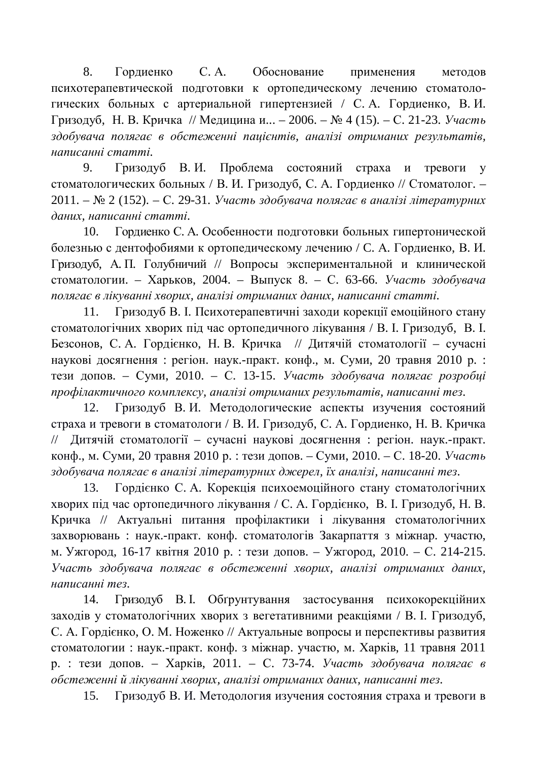8. Гордиенко С. А. Обоснование применения методов психотерапевтической подготовки к ортопедическому лечению стоматологических больных с артериальной гипертензией / С.А. Гордиенко, В.И. Гризодуб, Н. В. Кричка // Медицина и... – 2006. – № 4 (15). – С. 21-23. *Участь* здобувача полягає в обстеженні пацієнтів, аналізі отриманих результатів, *ɧɚɩɢɫɚɧɧɿɫɬɚɬɬɿ.*

9. Гризодуб В.И. Проблема состояний страха и тревоги у стоматологических больных / В. И. Гризолуб, С. А. Гордиенко // Стоматолог. – 2011. – № 2 (152). – С. 29-31. Участь здобувача полягає в аналізі літературних  $∂$ аних, написанні статті.

10. Гордиенко С. А. Особенности подготовки больных гипертонической болезнью с дентофобиями к ортопедическому лечению / С. А. Гордиенко, В. И. Гризодуб, А. П. Голубничий // Вопросы экспериментальной и клинической стоматологии. – Харьков, 2004. – Выпуск 8. – С. 63-66. *Участь здобувача* полягає в лікуванні хворих, аналізі отриманих даних, написанні статті.

11. Гризодуб В. І. Психотерапевтичні заходи корекції емоційного стану стоматологічних хворих під час ортопедичного лікування / В. І. Гризодуб, В. І. Безсонов, С. А. Гордієнко, Н. В. Кричка // Дитячій стоматології – сучасні наукові досягнення : регіон. наук.-практ. конф., м. Суми, 20 травня 2010 р. : тези допов. – Суми, 2010. – С. 13-15. *Участь здобувача полягає розробці* профілактичного комплексу, аналізі отриманих результатів, написанні тез.

12. Гризодуб В.И. Методологические аспекты изучения состояний страха и тревоги в стоматологи / В. И. Гризодуб, С. А. Гордиенко, Н. В. Кричка // Дитячій стоматології – сучасні наукові досягнення : регіон. наук.-практ. конф., м. Суми, 20 травня 2010 р. : тези допов. – Суми, 2010. – С. 18-20. *Участь* здобувача полягає в аналізі літературних джерел, їх аналізі, написанні тез.

13. Гордієнко С. А. Корекція психоемоційного стану стоматологічних хворих під час ортопедичного лікування / С. А. Гордієнко, В. І. Гризодуб, Н. В. Кричка // Актуальні питання профілактики і лікування стоматологічних захворювань : наук.-практ. конф. стоматологів Закарпаття з міжнар. участю, м. Ужгород, 16-17 квітня 2010 р. : тези допов. – Ужгород, 2010. – С. 214-215. Участь здобувача полягає в обстеженні хворих, аналізі отриманих даних, *ɧɚɩɢɫɚɧɧɿɬɟɡ.*

14. Гризодуб В. І. Обтрунтування застосування психокорекційних заходів у стоматологічних хворих з вегетативними реакціями / В. І. Гризодуб, С. А. Гордієнко, О. М. Ноженко // Актуальные вопросы и перспективы развития стоматологии: наук.-практ. конф. з міжнар. участю, м. Харків, 11 травня 2011 р. : тези допов. – Харків, 2011. – С. 73-74. Участь здобувача полягає в  $\delta$ бстеженні й лікуванні хворих, аналізі отриманих даних, написанні тез.

15. Гризодуб В. И. Методология изучения состояния страха и тревоги в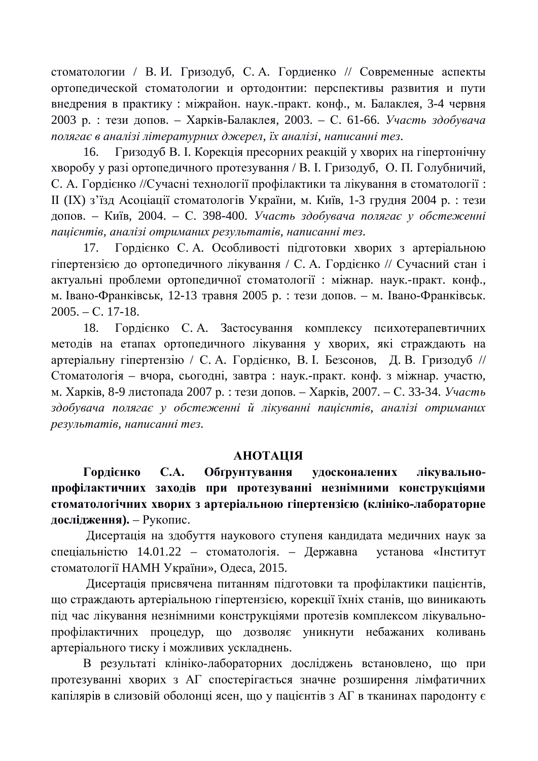стоматологии / В.И. Гризодуб, С.А. Гордиенко // Современные аспекты ортопедической стоматологии и ортодонтии: перспективы развития и пути внедрения в практику : міжрайон. наук.-практ. конф., м. Балаклея, 3-4 червня 2003 р. : тези допов. – Харків-Балаклея, 2003. – С. 61-66. *Участь здобувача*  $n_{0.7}$ ягає в аналізі літературних джерел, їх аналізі, написанні тез.

16. Гризодуб В. І. Корекція пресорних реакцій у хворих на гіпертонічну хворобу у разі ортопедичного протезування / В. І. Гризодуб, О. П. Голубничий, С. А. Горлієнко //Сучасні технології профілактики та лікування в стоматології: II (IX) з'їзд Асоціації стоматологів України, м. Київ, 1-3 грудня 2004 р.: тези допов. – Київ, 2004. – С. 398-400. Участь здобувача полягає у обстеженні  $n$ ацієнтів, аналізі отриманих результатів, написанні тез.

17. Гордієнко С.А. Особливості підготовки хворих з артеріальною гіпертензією до ортопедичного лікування / С. А. Гордієнко // Сучасний стан і актуальні проблеми ортопедичної стоматології : міжнар. наук.-практ. конф., м. Івано-Франківськ, 12-13 травня 2005 р. : тези допов. – м. Івано-Франківськ.  $2005. - C. 17-18.$ 

18. Гордієнко С.А. Застосування комплексу психотерапевтичних методів на етапах ортопедичного лікування у хворих, які страждають на артеріальну гіпертензію / С. А. Гордієнко, В. І. Безсонов, Д. В. Гризодуб // Стоматологія – вчора, сьогодні, завтра: наук.-практ. конф. з міжнар. участю, м. Харків, 8-9 листопада 2007 р. : тези допов. – Харків, 2007. – С. 33-34. *Участь* здобувача полягає у обстеженні й лікуванні пацієнтів, аналізі отриманих  $pesynotamie,  *hanucahhi mes.*$ 

#### **AHOTALIJA**

Гордієнко С.А. Обґрунтування удосконалених лікувальнопрофілактичних заходів при протезуванні незнімними конструкціями стоматологічних хворих з артеріальною гіпертензією (клініко-лабораторне дослідження). – Рукопис.

Дисертація на здобуття наукового ступеня кандидата медичних наук за спеціальністю 14.01.22 – стоматологія. – Державна установа «Інститут стоматології НАМН України», Одеса, 2015.

Дисертація присвячена питанням підготовки та профілактики пацієнтів, що страждають артеріальною гіпертензією, корекції їхніх станів, що виникають під час лікування незнімними конструкціями протезів комплексом лікувальнопрофілактичних процедур, що дозволяє уникнути небажаних коливань артеріального тиску і можливих ускладнень.

В результаті клініко-лабораторних досліджень встановлено, що при протезуванні хворих з АГ спостерігається значне розширення лімфатичних капілярів в слизовій оболонці ясен, що у пацієнтів з АГ в тканинах пародонту є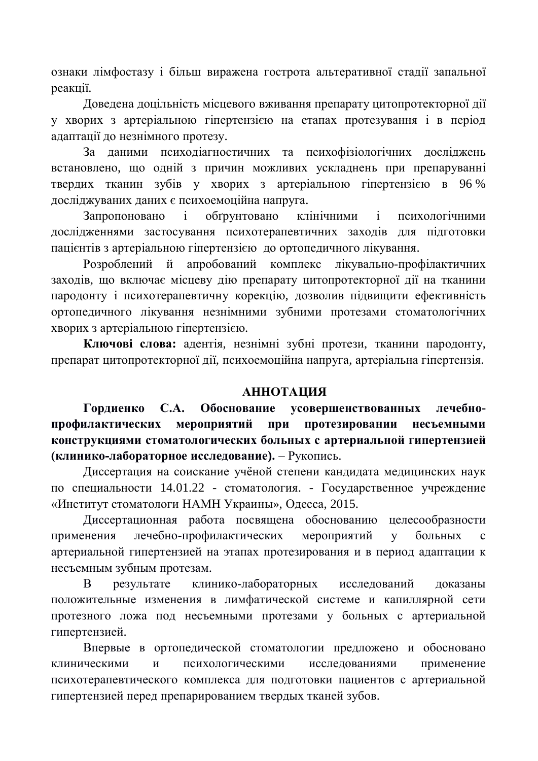ознаки лімфостазу і більш виражена гострота альтеративної стадії запальної реакції.

Довелена лоцільність місцевого вживання препарату цитопротекторної лії у хворих з артеріальною гіпертензією на етапах протезування і в період адаптації до незнімного протезу.

За даними психодіагностичних та психофізіологічних досліджень встановлено, що одній з причин можливих ускладнень при препаруванні твердих тканин зубів у хворих з артеріальною гіпертензією в 96% досліджуваних даних є психоемоційна напруга.

Запропоновано і обґрунтовано клінічними і психологічними дослідженнями застосування психотерапевтичних заходів для підготовки пацієнтів з артеріальною гіпертензією до ортопедичного лікування.

Розроблений й апробований комплекс лікувально-профілактичних заходів, що включає місцеву дію препарату цитопротекторної дії на тканини пародонту і психотерапевтичну корекцію, дозволив підвищити ефективність ортопедичного лікування незнімними зубними протезами стоматологічних хворих з артеріальною гіпертензією.

Ключові слова: адентія, незнімні зубні протези, тканини пародонту, препарат цитопротекторної дії, психоемоційна напруга, артеріальна гіпертензія.

### *AHHOTAIIMA*

Гордиенко С.А. Обоснование усовершенствованных лечебнопрофилактических мероприятий при протезировании несъемными конструкциями стоматологических больных с артериальной гипертензией **(клинико-лабораторное исследование).** – Рукопись.

Диссертация на соискание учёной степени кандидата медицинских наук по специальности 14.01.22 - стоматология. - Государственное учреждение «Институт стоматологи НАМН Украины», Одесса, 2015.

Диссертационная работа посвящена обоснованию целесообразности применения лечебно-профилактических мероприятий у больных с артериальной гипертензией на этапах протезирования и в период адаптации к несъемным зубным протезам.

В результате клинико-лабораторных исследований доказаны положительные изменения в лимфатической системе и капиллярной сети протезного ложа под несъемными протезами у больных с артериальной гипертензией.

Впервые в ортопедической стоматологии предложено и обосновано клиническими и психологическими исследованиями применение психотерапевтического комплекса для подготовки пациентов с артериальной гипертензией перед препарированием твердых тканей зубов.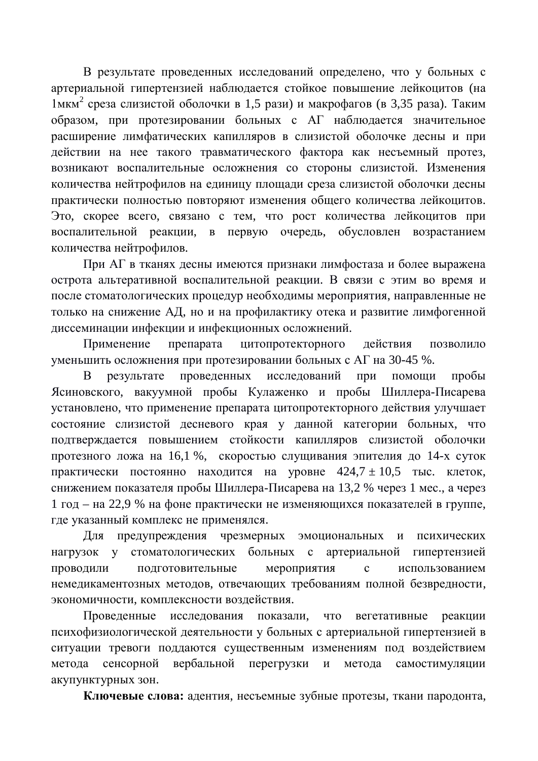В результате проведенных исследований определено, что у больных с артериальной гипертензией наблюдается стойкое повышение лейкоцитов (на 1мкм<sup>2</sup> среза слизистой оболочки в 1,5 рази) и макрофагов (в 3,35 раза). Таким образом, при протезировании больных с АГ наблюдается значительное расширение лимфатических капилляров в слизистой оболочке десны и при действии на нее такого травматического фактора как несъемный протез, возникают воспалительные осложнения со стороны слизистой. Изменения количества нейтрофилов на единицу площади среза слизистой оболочки десны практически полностью повторяют изменения общего количества лейкоцитов. Это, скорее всего, связано с тем, что рост количества лейкоцитов при воспалительной реакции, в первую очередь, обусловлен возрастанием количества нейтрофилов.

При АГ в тканях лесны имеются признаки лимфостаза и более выражена острота альтеративной воспалительной реакции. В связи с этим во время и после стоматологических процедур необходимы мероприятия, направленные не только на снижение АД, но и на профилактику отека и развитие лимфогенной диссеминации инфекции и инфекционных осложнений.

Применение препарата цитопротекторного действия позволило уменьшить осложнения при протезировании больных с АГ на 30-45 %.

результате проведенных исследований при помощи пробы Ясиновского, вакуумной пробы Кулаженко и пробы Шиллера-Писарева установлено, что применение препарата цитопротекторного действия улучшает состояние слизистой десневого края у данной категории больных, что подтверждается повышением стойкости капилляров слизистой оболочки протезного ложа на 16,1 %, скоростью слущивания эпителия до 14-х суток практически постоянно находится на уровне  $424.7 \pm 10.5$  тыс. клеток, снижением показателя пробы Шиллера-Писарева на 13,2 % через 1 мес., а через 1 год – на 22,9 % на фоне практически не изменяющихся показателей в группе, где указанный комплекс не применялся.

Для предупреждения чрезмерных эмоциональных и психических нагрузок у стоматологических больных с артериальной гипертензией проводили подготовительные мероприятия с использованием немедикаментозных методов, отвечающих требованиям полной безвредности, экономичности, комплексности воздействия.

Проведенные исследования показали, что вегетативные реакции психофизиологической деятельности у больных с артериальной гипертензией в ситуации тревоги поддаются существенным изменениям под воздействием метода сенсорной вербальной перегрузки и метода самостимуляции акупунктурных зон.

Ключевые слова: адентия, несъемные зубные протезы, ткани пародонта,